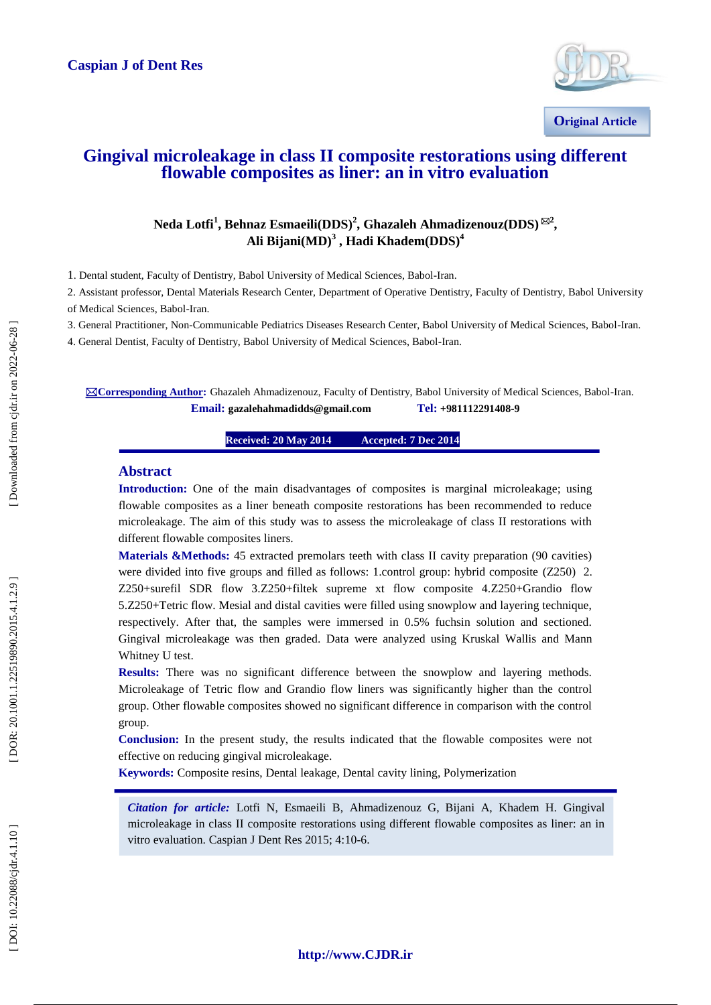#### **Caspian J of Dent Res**



## **Gingival microleakage in class II composite restorations using different flowable composites as liner: an in vitro evaluation**

 $\mathbf{N}$ eda Lotfi<sup>1</sup>, Behnaz Esmaeili $(\mathbf{DDS})^2$ , Ghazaleh Ahmadizenouz $(\mathbf{DDS})^{\boxtimes 2}$ , **Ali Bijani(MD) 3 , Hadi Khadem(DDS) 4**

1. Dental student, Faculty of Dentistry, Babol University of Medical Sciences, Babol -Iran.

2. Assistant professor, Dental Materials Research Center, Department of Operative Dentistry, Faculty of Dentistry, Babol University of Medical Sciences, Babol -Iran.

3. General Practitioner, Non -Communicable Pediatrics Diseases Research Center, Babol University of Medical Sciences, Babol -Iran.

4. General Dentist, Faculty of Dentistry, Babol University of Medical Sciences, Babol -Iran.

⊠Corresponding Author: Ghazaleh Ahmadizenouz, Faculty of Dentistry, Babol University of Medical Sciences, Babol-Iran. **Email:** gazalehahmadidds@gmail.com **- 9**

#### **Received: 20 May 201 4 Accepted: 7 Dec 2014**

#### **Abstract**

**Introduction:** One of the main disadvantages of composites is marginal microleakage; using flowable composites as a liner beneath composite restorations has been recommended to reduce microleakage. The aim of this study was to assess the microleakage of class II restorations with different flowable composites liners.

**Materials &Methods:** 45 extracted premolars teeth with class II cavity preparation (90 cavities) were divided into five groups and filled as follows: 1.control group: hybrid composite (Z250) 2. Z250+surefil SDR flow 3.Z250+filtek supreme xt flow composite 4.Z250+Grandio flow 5.Z250+Tetric flow. Mesial and distal cavities were filled using snowplow and layering technique, respectively. After that, the samples were immersed in 0.5% fuchsin solution and sectioned. Gingival microleakage was then graded. Data were analyzed using Kruskal Wallis and Mann Whitney U test.

**Results:** There was no significant difference between the snowplow and layering methods. Microleakage of Tetric flow and Grandio flow liners was significantly higher than the control group. Other flowable composites showed no significant difference in comparison with the control group.

**Conclusion:** In the present study, the results indicated that the flowable composites were not effective on reducing gingival microleakage.

**Keywords:** Composite resins, Dental leakage, Dental cavity lining, Polymerization

*Citation for article:* Lotfi N, Esmaeili B, Ahmadi zenouz G, Bijani A, Khadem H. Gingival microleakage in class II composite restorations using different flowable composites as liner: an in vitro evaluation. Caspian J Dent Res 2015; 4:10 -6.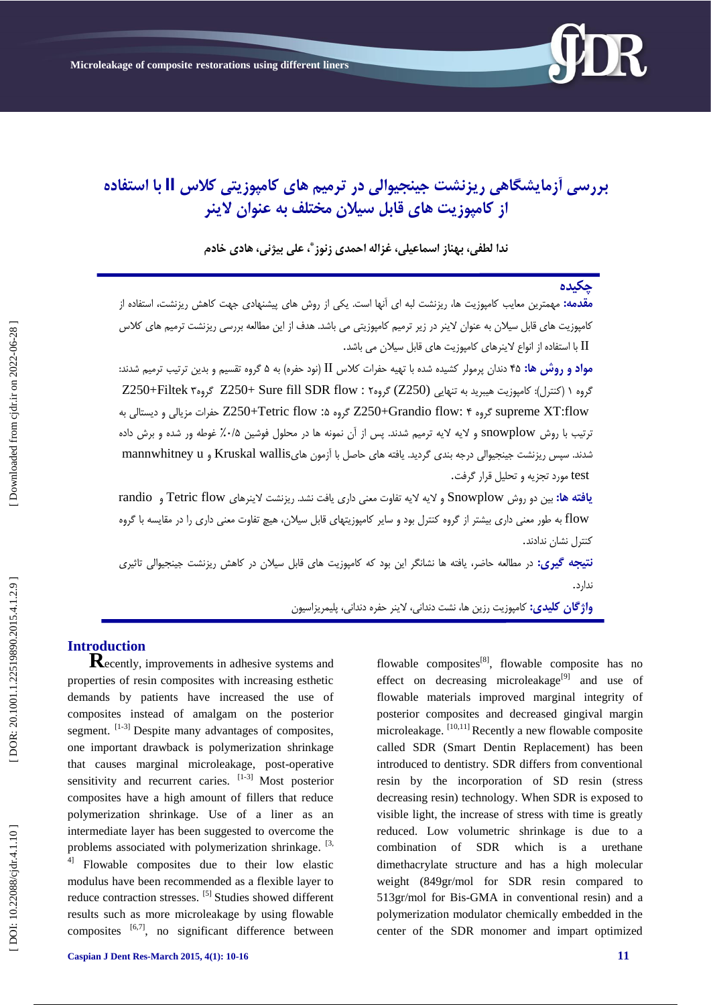

# **بررسی آزهایشگاهی ریسنشت جینجیوالی در ترهین های کاهپوزیتی کالض II با استفاده از کاهپوزیت های قابل سیالى هختلف به عنواى الینر**

ندا لطفی، بهناز اسماعیلی، غزاله احمدی زنوز ٌ، علی بیژنی، هادی خادم

### **چکیذه**

**مقدمه:** مهمترین معایب کامپوزیت ها، ریزنشت لبه ای انها است. یکی از روش های پیشنهادی جهت کاهش ریزنشت، استفاده از کامپوزیت های قابل سیلان به عنوان لاینر در زیر ترمیم کامپوزیتی می باشد. هدف از این مطالعه بررسی ریزنشت ترمیم های کلاس ا با استفاده از انواع لاینرهای کامپوزیت های قابل سیلان می باشد.  $\Pi$ 

**مواد و روش ها: ۴۵** دندان پرمولر کشیده شده با تهیه حفرات کلاس II (نود حفره) به ۵ گروه تقسیم و بدین ترتیب ترمیم شدند: گروه ۱ (کنترل): کامپوزیت هیبرید به تنهایی (Z250) گروه۲ : S250+Filtek 7 گروه۲ (Z250 گروه۳ Z250+Filtek دیستالی بٍ : flow Tetric250+Z حفرات مسیالی ي 5 ٌگري Z250+Grandio flow: 4 ٌگري supreme XT:flow نرتیب با روش snowplow و لایه لایه ترمیم شدند. پس از آن نمونه ها در محلول فوشین ۰/۵٪ غوطه ور شده و برش داده شدند. سپس ریزنشت جینجیوالی درجه بندی گردید. یافته های حاصل با آزمون هایKruskal wallis و mannwhitney u<br>test مورد تجزیه و تحلیل قرار گرفت.

**يافته ها:** بين دو روش Snowplow و لايه لايه تفاوت معنى دارى يافت نشد. ريزنشت لاينرهاى Tetric flow و randio flow به طور معنی داری بیشتر از گروه کنترل بود و سایر کامپوزیتهای قابل سیلان، هیچ تفاوت معنی داری را در مقایسه با گروه<br>کنترل نشان ندادند.

**نتیجه گیری:** در مطالعه حاضر، یافته ها نشانگر این بود که کامپوزیت های قابل سیلان در کاهش ریزنشت جینجیوالی تاثیری<br>ندارد.

**واژگان کلیدی:** کامپوزیت رزین ها، نشت دندانی، لاینر حفره دندانی، پلیمریزاسیون

**Introduction**<br>**Recently, improvements in adhesive systems and** properties of resin composites with increasing esthetic demands by patients have increased the use of composites instead of amalgam on the posterior segment.  $[1-3]$  Despite many advantages of composites, one important drawback is polymerization shrinkage that causes marginal microleakage, post -operative sensitivity and recurrent caries.  $[1-3]$  Most posterior composites have a high amount of fillers that reduce polymerization shrinkage. Use of a liner as an intermediate layer has been suggested to overcome the problems associated with polymerization shrinkage. <sup>[3,</sup>

4] Flowable composites due to their low elastic modulus have been recommended as a flexible layer to reduce contraction stresses. [5] Studies showed different results such as more microleakage by using flowable composites  $[6,7]$ , no significant difference between

flowable composites $[8]$ , flowable composite has no effect on decreasing microleakage<sup>[9]</sup> and use of flowable materials improved marginal integrity of posterior composites and decreased gingival margin microleakage. [10,11] Recently a new flowable composite called SDR (Smart Dentin Replacement) has been introduced to dentistry. SDR differs from conventional resin by the incorporation of SD resin (stress decreasing resin) technology. When SDR is exposed to visible light, the increase of stress with time is greatly reduced. Low volumetric shrinkage is due to a combination of SDR which is a urethane dimethacrylate structure and has a high molecular weight (849gr/mol for SDR resin compared to 513gr/mol for Bis -GMA in conventional resin) and a polymerization modulator chemically embedded in the center of the SDR monomer and impart optimized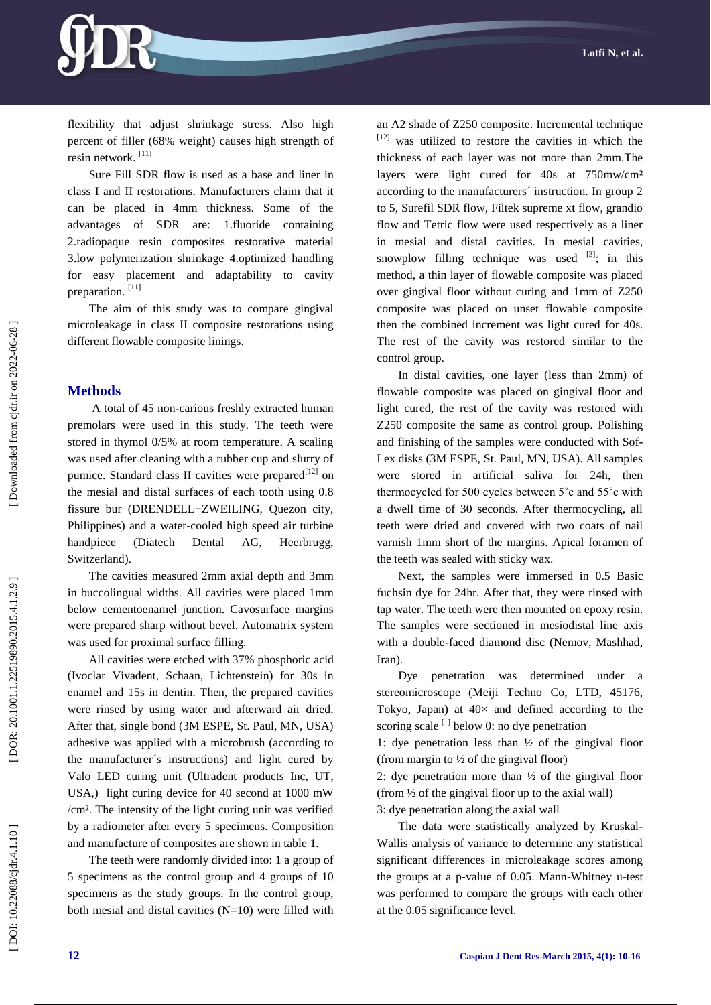

flexibility that adjust shrinkage stress. Also high percent of filler (68% weight) causes high strength of resin network. [11]

Sure Fill SDR flow is used as a base and liner in class I and II restorations. Manufacturers claim that it can be placed in 4mm thickness. Some of the advantages of SDR are: 1.fluoride containing 2.radiopaque resin composites restorative material 3.low polymerization shrinkage 4.optimized handling for easy placement and adaptability to cavity preparation.<sup>[11]</sup>

The aim of this study was to compare gingival microleakage in class II composite restorations using different flowable composite linings.

#### **Methods**

A total of 45 non -carious freshly extracted human premolars were used in this study. The teeth were stored in thymol 0/5% at room temperature. A scaling was used after cleaning with a rubber cup and slurry of pumice. Standard class II cavities were prepared<sup>[12]</sup> on the mesial and distal surfaces of each tooth using 0.8 fissure bur (DRENDELL+ZWEILING, Quezon city, Philippines) and a water -cooled high speed air turbine handpiece (Diatech Dental AG, Heerbrugg, Switzerland).

The cavities measured 2mm axial depth and 3mm in buccolingual widths. All cavities were placed 1mm below cementoenamel junction. Cavosurface margins were prepared sharp without bevel. Automatrix system was used for proximal surface filling.

All cavities were etched with 37% phosphoric acid (Ivoclar Vivadent, Schaan, Lichtenstein) for 30s in enamel and 15s in dentin. Then, the prepared cavities were rinsed by using water and afterward air dried. After that, single bond (3M ESPE, St. Paul, MN, USA) adhesive was applied with a microbrush (according to the manufacturer´s instructions) and light cured by Valo LED curing unit (Ultradent products Inc, UT, USA,) light curing device for 40 second at 1000 mW /cm². The intensity of the light curing unit was verified by a radiometer after every 5 specimens. Composition and manufacture of composites are shown in table 1.

The teeth were randomly divided into: 1 a group of 5 specimens as the control group and 4 groups of 10 specimens as the study groups. In the control group, both mesial and distal cavities  $(N=10)$  were filled with an A2 shade of Z250 composite. Incremental technique [12] was utilized to restore the cavities in which the thickness of each layer was not more than 2mm.The layers were light cured for 40s at 750mw/cm² according to the manufacturers´ instruction. In group 2 to 5, Surefil SDR flow, Filtek supreme xt flow, grandio flow and Tetric flow were used respectively as a liner in mesial and distal cavities. In mesial cavities, snowplow filling technique was used  $[3]$ ; in this method, a thin layer of flowable composite was placed over gingival floor without curing and 1mm of Z250 composite was placed on unset flowable composite then the combined increment was light cured for 40s. The rest of the cavity was restored similar to the control group.

In distal cavities, one layer (less than 2mm) of flowable composite was placed on gingival floor and light cured, the rest of the cavity was restored with Z250 composite the same as control group. Polishing and finishing of the samples were conducted with Sof - Lex disks (3M ESPE, St. Paul, MN, USA). All samples were stored in artificial saliva for 24h, then thermocycled for 500 cycles between 5˚c and 55˚c with a dwell time of 30 seconds. After thermocycling, all teeth were dried and covered with two coats of nail varnish 1mm short of the margins. Apical foramen of the teeth was sealed with sticky wax.

Next, the samples were immersed in 0.5 Basic fuchsin dye for 24hr. After that, they were rinsed with tap water. The teeth were then mounted on epoxy resin. The samples were sectioned in mesiodistal line axis with a double -faced diamond disc (Nemov, Mashhad, Iran).

Dye penetration was determined under a stereomicroscope (Meiji Techno Co, LTD, 45176, Tokyo, Japan) at  $40\times$  and defined according to the scoring scale  $\left[1\right]$  below 0: no dye penetration

1: dye penetration less than ½ of the gingival floor (from margin to  $\frac{1}{2}$  of the gingival floor)

2: dye penetration more than  $\frac{1}{2}$  of the gingival floor (from  $\frac{1}{2}$  of the gingival floor up to the axial wall) 3: dye penetration along the axial wall

The data were statistically analyzed by Kruskal-Wallis analysis of variance to determine any statistical significant differences in microleakage scores among the groups at a p -value of 0.05. Mann -Whitney u -test was performed to compare the groups with each other at the 0.05 significance level.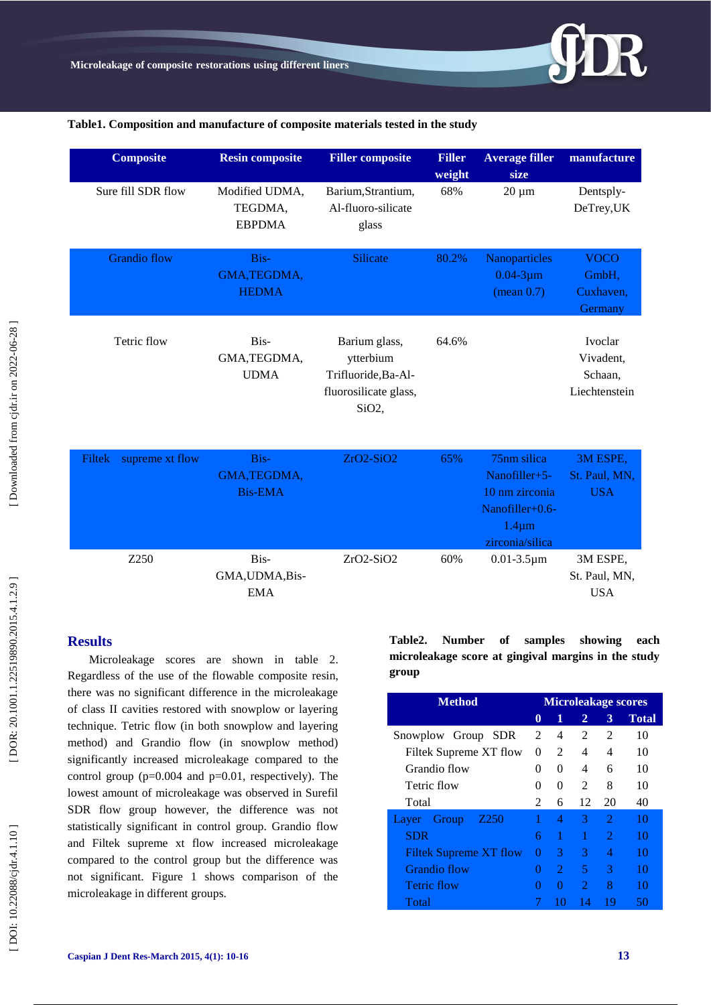

#### **Table1 . Composition and manufacture of composite materials tested in the study**

| <b>Composite</b>          | <b>Resin composite</b>                     | <b>Filler composite</b>                                                                          | <b>Filler</b><br>weight | <b>Average filler</b><br>size                                                                                   | manufacture                                      |
|---------------------------|--------------------------------------------|--------------------------------------------------------------------------------------------------|-------------------------|-----------------------------------------------------------------------------------------------------------------|--------------------------------------------------|
| Sure fill SDR flow        | Modified UDMA,<br>TEGDMA,<br><b>EBPDMA</b> | Barium, Strantium,<br>Al-fluoro-silicate<br>glass                                                | 68%                     | $20 \mu m$                                                                                                      | Dentsply-<br>DeTrey, UK                          |
| <b>Grandio flow</b>       | Bis-<br>GMA, TEGDMA,<br><b>HEDMA</b>       | <b>Silicate</b>                                                                                  | 80.2%                   | Nanoparticles<br>$0.04 - 3 \mu m$<br>(mean 0.7)                                                                 | <b>VOCO</b><br>GmbH,<br>Cuxhaven,<br>Germany     |
| Tetric flow               | Bis-<br>GMA, TEGDMA,<br><b>UDMA</b>        | Barium glass,<br>ytterbium<br>Trifluoride, Ba-Al-<br>fluorosilicate glass,<br>SiO <sub>2</sub> , | 64.6%                   |                                                                                                                 | Ivoclar<br>Vivadent,<br>Schaan,<br>Liechtenstein |
| supreme xt flow<br>Filtek | Bis-<br>GMA, TEGDMA,<br><b>Bis-EMA</b>     | $ZrO2-SiO2$                                                                                      | 65%                     | 75 <sub>nm</sub> silica<br>Nanofiller+5-<br>10 nm zirconia<br>Nanofiller+0.6-<br>$1.4 \mu m$<br>zirconia/silica | 3M ESPE,<br>St. Paul, MN,<br><b>USA</b>          |
| Z250                      | Bis-<br>GMA, UDMA, Bis-                    | ZrO2-SiO2                                                                                        | 60%                     | $0.01 - 3.5 \mu m$                                                                                              | 3M ESPE,<br>St. Paul, MN,                        |

### **Results**

Microleakage scores are shown in table 2. Regardless of the use of the flowable composite resin, there was no significant difference in the microleakage of class II cavities restored with snowplow or layering technique. Tetric flow (in both snowplow and layering method) and Grandio flow (in snowplow method) significantly increased microleakage compared to the control group  $(p=0.004$  and  $p=0.01$ , respectively). The lowest amount of microleakage was observed in Surefil SDR flow group however, the difference was not statistically significant in control group. Grandio flow and Filtek supreme xt flow increased microleakage compared to the control group but the difference was not significant. Figure 1 shows comparison of the microleakage in different groups.

EMA

**Table2. Number of samples showing each microleakage score at gingival margins in the study group**

USA

| <b>Method</b>                      |   | <b>Microleakage scores</b> |                |                             |              |  |  |
|------------------------------------|---|----------------------------|----------------|-----------------------------|--------------|--|--|
|                                    | 0 | 1                          | 2              | 3                           | <b>Total</b> |  |  |
| Snowplow Group<br><b>SDR</b>       | 2 | 4                          | 2              | $\mathfrak{D}$              | 10           |  |  |
| Filtek Supreme XT flow             |   | 2                          | 4              | 4                           | 10           |  |  |
| Grandio flow                       |   | $\Omega$                   | 4              | 6                           | 10           |  |  |
| Tetric flow                        |   | $\Omega$                   | 2              | 8                           | 10           |  |  |
| Total                              |   | 6                          | 12             | 20                          | 40           |  |  |
| Z <sub>250</sub><br>Group<br>Layer |   | 4                          | 3              | $\mathcal{D}_{\mathcal{L}}$ | 10           |  |  |
| <b>SDR</b>                         |   | 1                          | 1              | 2                           | 10           |  |  |
| Filtek Supreme XT flow             |   | 3                          | 3              | 4                           | 10           |  |  |
| Grandio flow                       |   | $\mathcal{D}_{\cdot}$      | 5              | 3                           | 10           |  |  |
| <b>Tetric flow</b>                 |   | $\Omega$                   | $\mathfrak{D}$ | 8                           | 10           |  |  |
| Total                              |   | 10                         | 14             | 19                          | 50           |  |  |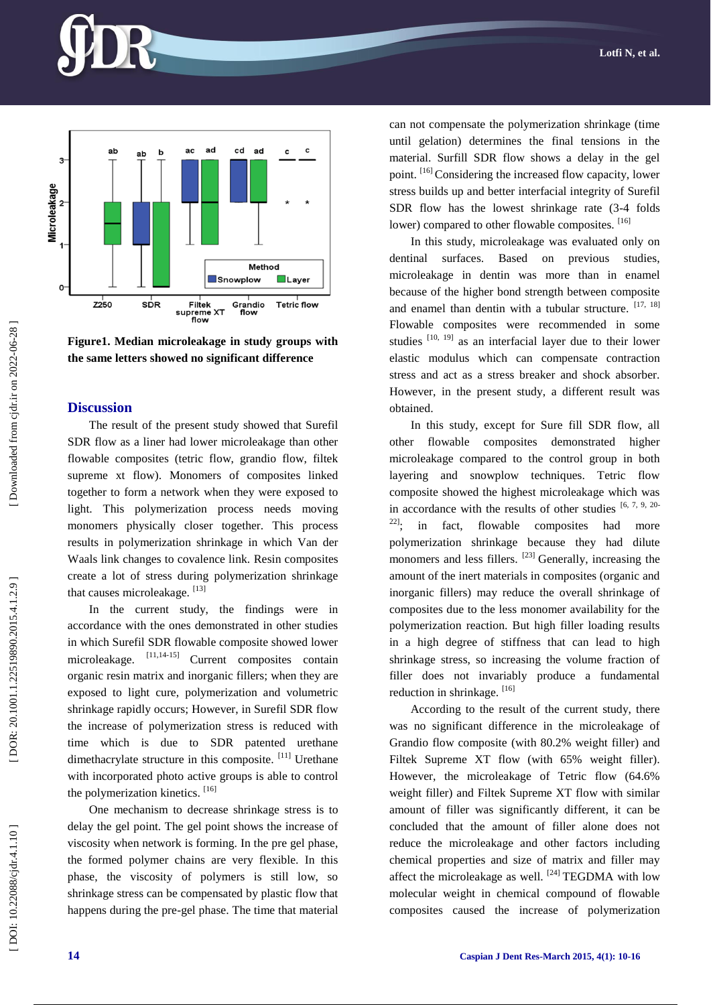



#### **Discussion**

The result of the present study showed that Surefil SDR flow as a liner had lower microleakage than other flowable composites (tetric flow, grandio flow, filtek supreme xt flow). Monomers of composites linked together to form a network when they were exposed to light. This polymerization process needs moving monomers physically closer together. This process results in polymerization shrinkage in which Van der Waals link changes to covalence link. Resin composites create a lot of stress during polymerization shrinkage that causes microleakage. [13]

In the current study, the findings were in accordance with the ones demonstrated in other studies in which Surefil SDR flowable composite showed lower microleakage. <sup>[11,14-15]</sup> Current composites contain organic resin matrix and inorganic fillers; when they are exposed to light cure, polymerization and volumetric shrinkage rapidly occurs; However, in Surefil SDR flow the increase of polymerization stress is reduced with time which is due to SDR patented urethane dimethacrylate structure in this composite. <sup>[11]</sup> Urethane with incorporated photo active groups is able to control the polymerization kinetics. [16]

One mechanism to decrease shrinkage stress is to delay the gel point. The gel point shows the increase of viscosity when network is forming. In the pre gel phase, the formed polymer chains are very flexible. In this phase, the viscosity of polymers is still low, so shrinkage stress can be compensated by plastic flow that happens during the pre -gel phase. The time that material can not compensate the polymerization shrinkage (time until gelation) determines the final tensions in the material. Surfill SDR flow shows a delay in the gel point. [16] Considering the increased flow capacity, lower stress builds up and better interfacial integrity of Surefil SDR flow has the lowest shrinkage rate (3 -4 folds lower) compared to other flowable composites. [16]

In this study, microleakage was evaluated only on dentinal surfaces. Based on previous studies, microleakage in dentin was more than in enamel because of the higher bond strength between composite and enamel than dentin with a tubular structure. [17, 18] Flowable composites were recommended in some studies <sup>[10, 19]</sup> as an interfacial layer due to their lower elastic modulus which can compensate contraction stress and act as a stress breaker and shock absorber. However, in the present study, a different result was obtained.

In this study, except for Sure fill SDR flow, all other flowable composites demonstrated higher microleakage compared to the control group in both layering and snowplow techniques. Tetric flow composite showed the highest microleakage which was in accordance with the results of other studies  $[6, 7, 9, 20]$  $22$ ]; in fact, flowable composites had more polymerization shrinkage because they had dilute monomers and less fillers. [23] Generally, increasing the amount of the inert materials in composites (organic and inorganic fillers) may reduce the overall shrinkage of composites due to the less monomer availability for the polymerization reaction. But high filler loading results in a high degree of stiffness that can lead to high shrinkage stress, so increasing the volume fraction of filler does not invariably produce a fundamental reduction in shrinkage. [16]

According to the result of the current study, there was no significant difference in the microleakage of Grandio flow composite (with 80.2% weight filler) and Filtek Supreme XT flow (with 65% weight filler). However, the microleakage of Tetric flow (64.6% weight filler) and Filtek Supreme XT flow with similar amount of filler was significantly different, it can be concluded that the amount of filler alone does not reduce the microleakage and other factors including chemical properties and size of matrix and filler may affect the microleakage as well.  $[24]$  TEGDMA with low molecular weight in chemical compound of flowable composites caused the increase of polymerization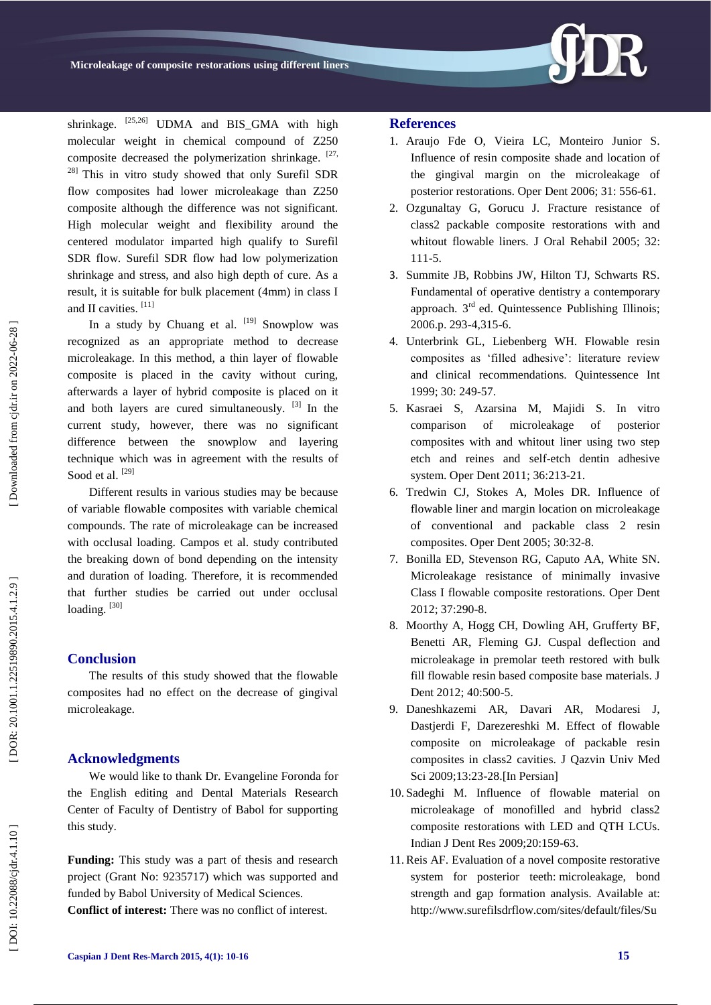

shrinkage.  $[25,26]$  UDMA and BIS GMA with high molecular weight in chemical compound of Z250 composite decreased the polymerization shrinkage.  $[27,$ <sup>28]</sup> This in vitro study showed that only Surefil SDR flow composites had lower microleakage than Z250 composite although the difference was not significant. High molecular weight and flexibility around the centered modulator imparted high qualify to Surefil SDR flow. Surefil SDR flow had low polymerization shrinkage and stress, and also high depth of cure. As a result, it is suitable for bulk placement (4mm) in class I and II cavities. [11]

In a study by Chuang et al. [19] Snowplow was recognized as an appropriate method to decrease microleakage. In this method, a thin layer of flowable composite is placed in the cavity without curing, afterwards a layer of hybrid composite is placed on it and both layers are cured simultaneously. [3] In the current study, however, there was no significant difference between the snowplow and layering technique which was in agreement with the results of Sood et al.<sup>[29]</sup>

Different results in various studies may be because of variable flowable composites with variable chemical compounds. The rate of microleakage can be increased with occlusal loading. Campos et al. study contributed the breaking down of bond depending on the intensity and duration of loading. Therefore, it is recommended that further studies be carried out under occlusal loading.<sup>[30]</sup>

#### **Conclusion**

The results of this study showed that the flowable composites had no effect on the decrease of gingival microleakage.

#### **Acknowledgments**

We would like to thank Dr. Evangeline Foronda for the English editing and Dental Materials Research Center of Faculty of Dentistry of Babol for supporting this study.

**Funding:** This study was a part of thesis and research project (Grant No: 9235717) which was supported and funded by Babol University of Medical Sciences. **Conflict of interest:** There was no conflict of interest.

#### **Reference s**

- 1 . Araujo Fde O, Vieira L C, Monteiro Junior S. Influence of resin composite shade and location of the gingival margin on the microleakage of posterior restorations. Oper Dent 2006; 31: 556 -61.
- 2 . Ozgunaltay G, Gorucu J. Fracture resistance of class2 packable composite restorations with and whitout flowable liners. J Oral Rehabil 2005; 32: 111 -5.
- 3 . Summite JB, Robbins JW, Hilton TJ, Schwarts RS. Fundamental of operative dentistry a contemporary approach.  $3<sup>rd</sup>$  ed. Quintessence Publishing Illinois: 2006. p. 293 -4,315 -6.
- 4 . Unterbrink GL, Liebenberg WH. Flowable resin composites as 'filled adhesive': literature review and clinical recommendations. Quintessence Int 1999; 30: 249 -57.
- 5 . Kasraei S, Azarsina M, Majidi S. In vitro comparison of microleakage of posterior composites with and whitout liner using two step etch and reines and self-etch dentin adhesive system. Oper Dent 2011; 36:213 -21.
- 6 . Tredwin CJ, Stokes A, Moles DR. Influence of flowable liner and margin location on microleakage of conventional and packable class 2 resin composites. Oper Dent 2005; 30:32 -8.
- 7 . Bonilla ED, Stevenson RG, Caputo AA, White SN. Microleakage resistance of minimally invasive Class I flowable composite restorations. Oper Dent 2012; 37:290 -8.
- 8 . Moorthy A, Hogg CH, Dowling AH, Grufferty BF, Benetti AR, Fleming G J. Cuspal deflection and microleakage in premolar teeth restored with bulk fill flowable resin based composite base materials. J Dent 2012; 40:500-5.
- 9 . Daneshkazemi AR, Davari AR, Modaresi J, Dastjerdi F, Darezereshki M. Effect of flowable composite on microleakage of packable resin composites in class2 cavities. J Qazvin Univ Med Sci 2009;13:23 -28.[In Persian]
- 10 . Sadeghi M. Influence of flowable material on microleakage of monofilled and hybrid class2 composite restorations with LED and QTH LCUs. Indian J Dent Res 2009;20:159 -63.
- 11 .Reis AF. Evaluation of a novel composite restorative system for posterior teeth: microleakage, bond strength and gap formation analysis. Available at: [http://www.surefilsdrflow.com/sites/default/files/Su](http://www.surefilsdrflow.com/sites/default/files/SureFil_Technical_Manual.pdf.%20Accessed%20Oct%2022,2012)